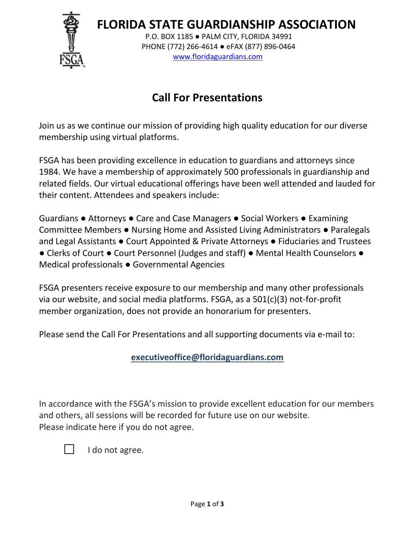**FLORIDA STATE GUARDIANSHIP ASSOCIATION**



 P.O. BOX 1185 ● PALM CITY, FLORIDA 34991 PHONE (772) 266-4614 ● eFAX (877) 896-0464 [www.floridaguardians.com](http://www.floridaguardians.com/)

## **Call For Presentations**

Join us as we continue our mission of providing high quality education for our diverse membership using virtual platforms.

FSGA has been providing excellence in education to guardians and attorneys since 1984. We have a membership of approximately 500 professionals in guardianship and related fields. Our virtual educational offerings have been well attended and lauded for their content. Attendees and speakers include:

Guardians ● Attorneys ● Care and Case Managers ● Social Workers ● Examining Committee Members ● Nursing Home and Assisted Living Administrators ● Paralegals and Legal Assistants ● Court Appointed & Private Attorneys ● Fiduciaries and Trustees ● Clerks of Court ● Court Personnel (Judges and staff) ● Mental Health Counselors ● Medical professionals ● Governmental Agencies

FSGA presenters receive exposure to our membership and many other professionals via our website, and social media platforms. FSGA, as a 501(c)(3) not-for-profit member organization, does not provide an honorarium for presenters.

Please send the Call For Presentations and all supporting documents via e-mail to:

**[executiveoffice@floridaguardians.com](mailto:executiveoffice@floridaguardians.com)**

In accordance with the FSGA's mission to provide excellent education for our members and others, all sessions will be recorded for future use on our website. Please indicate here if you do not agree.



I do not agree.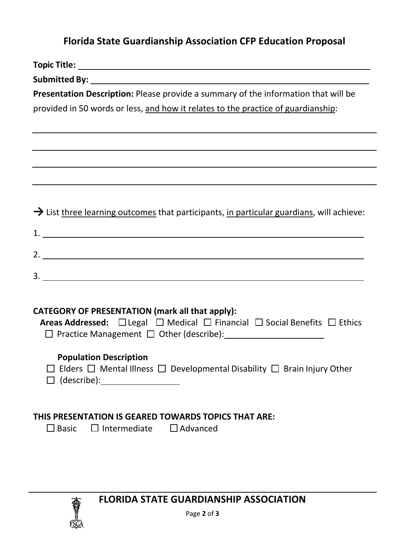## **Florida State Guardianship Association CFP Education Proposal**

| Presentation Description: Please provide a summary of the information that will be                                                                                 |
|--------------------------------------------------------------------------------------------------------------------------------------------------------------------|
| provided in 50 words or less, and how it relates to the practice of guardianship:                                                                                  |
|                                                                                                                                                                    |
| ,我们也不会有什么。""我们的人,我们也不会有什么?""我们的人,我们也不会有什么?""我们的人,我们也不会有什么?""我们的人,我们也不会有什么?""我们的人                                                                                   |
| ,我们也不会有什么。""我们的人,我们也不会有什么?""我们的人,我们也不会有什么?""我们的人,我们也不会有什么?""我们的人,我们也不会有什么?""我们的人                                                                                   |
|                                                                                                                                                                    |
| ,我们也不会有什么。""我们的人,我们也不会有什么?""我们的人,我们也不会有什么?""我们的人,我们也不会有什么?""我们的人,我们也不会有什么?""我们的人                                                                                   |
|                                                                                                                                                                    |
| $\rightarrow$ List three learning outcomes that participants, in particular guardians, will achieve:                                                               |
|                                                                                                                                                                    |
|                                                                                                                                                                    |
|                                                                                                                                                                    |
|                                                                                                                                                                    |
|                                                                                                                                                                    |
|                                                                                                                                                                    |
| <b>CATEGORY OF PRESENTATION (mark all that apply):</b>                                                                                                             |
| <b>Areas Addressed:</b> $\Box$ Legal $\Box$ Medical $\Box$ Financial $\Box$ Social Benefits $\Box$ Ethics<br>□ Practice Management □ Other (describe): <u>[11]</u> |
|                                                                                                                                                                    |
| <b>Population Description</b>                                                                                                                                      |
| $\Box$ Elders $\Box$ Mental Illness $\Box$ Developmental Disability $\Box$ Brain Injury Other                                                                      |
|                                                                                                                                                                    |
|                                                                                                                                                                    |
| THIS PRESENTATION IS GEARED TOWARDS TOPICS THAT ARE:                                                                                                               |
| $\Box$ Intermediate $\Box$ Advanced<br>$\Box$ Basic                                                                                                                |
|                                                                                                                                                                    |